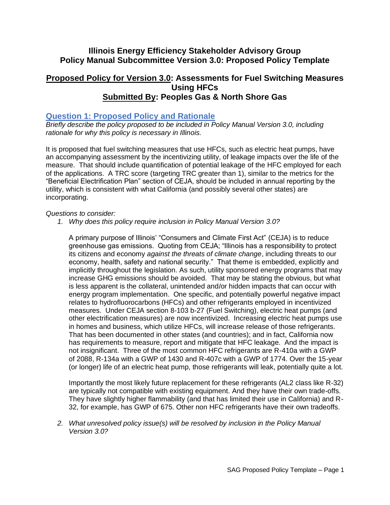# **Illinois Energy Efficiency Stakeholder Advisory Group Policy Manual Subcommittee Version 3.0: Proposed Policy Template**

## **Proposed Policy for Version 3.0: Assessments for Fuel Switching Measures Using HFCs Submitted By: Peoples Gas & North Shore Gas**

### **Question 1: Proposed Policy and Rationale**

*Briefly describe the policy proposed to be included in Policy Manual Version 3.0, including rationale for why this policy is necessary in Illinois.* 

It is proposed that fuel switching measures that use HFCs, such as electric heat pumps, have an accompanying assessment by the incentivizing utility, of leakage impacts over the life of the measure. That should include quantification of potential leakage of the HFC employed for each of the applications. A TRC score (targeting TRC greater than 1), similar to the metrics for the "Beneficial Electrification Plan" section of CEJA, should be included in annual reporting by the utility, which is consistent with what California (and possibly several other states) are incorporating.

#### *Questions to consider:*

*1. Why does this policy require inclusion in Policy Manual Version 3.0?* 

A primary purpose of Illinois' "Consumers and Climate First Act" (CEJA) is to reduce greenhouse gas emissions. Quoting from CEJA; "Illinois has a responsibility to protect its citizens and economy *against the threats of climate change*, including threats to our economy, health, safety and national security." That theme is embedded, explicitly and implicitly throughout the legislation. As such, utility sponsored energy programs that may increase GHG emissions should be avoided. That may be stating the obvious, but what is less apparent is the collateral, unintended and/or hidden impacts that can occur with energy program implementation. One specific, and potentially powerful negative impact relates to hydrofluorocarbons (HFCs) and other refrigerants employed in incentivized measures. Under CEJA section 8-103 b-27 (Fuel Switching), electric heat pumps (and other electrification measures) are now incentivized. Increasing electric heat pumps use in homes and business, which utilize HFCs, will increase release of those refrigerants. That has been documented in other states (and countries); and in fact, California now has requirements to measure, report and mitigate that HFC leakage. And the impact is not insignificant. Three of the most common HFC refrigerants are R-410a with a GWP of 2088, R-134a with a GWP of 1430 and R-407c with a GWP of 1774. Over the 15-year (or longer) life of an electric heat pump, those refrigerants will leak, potentially quite a lot.

Importantly the most likely future replacement for these refrigerants (AL2 class like R-32) are typically not compatible with existing equipment. And they have their own trade-offs. They have slightly higher flammability (and that has limited their use in California) and R-32, for example, has GWP of 675. Other non HFC refrigerants have their own tradeoffs.

*2. What unresolved policy issue(s) will be resolved by inclusion in the Policy Manual Version 3.0?*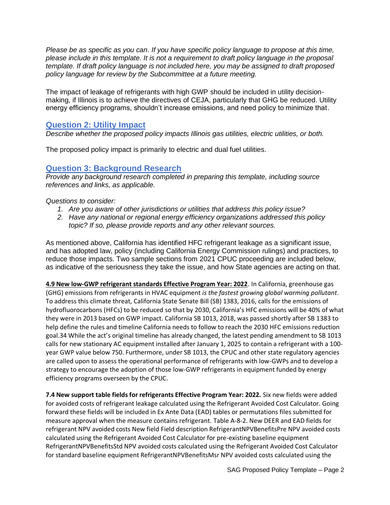*Please be as specific as you can. If you have specific policy language to propose at this time, please include in this template. It is not a requirement to draft policy language in the proposal template. If draft policy language is not included here, you may be assigned to draft proposed policy language for review by the Subcommittee at a future meeting.*

The impact of leakage of refrigerants with high GWP should be included in utility decisionmaking, if Illinois is to achieve the directives of CEJA, particularly that GHG be reduced. Utility energy efficiency programs, shouldn't increase emissions, and need policy to minimize that.

### **Question 2: Utility Impact**

*Describe whether the proposed policy impacts Illinois gas utilities, electric utilities, or both.* 

The proposed policy impact is primarily to electric and dual fuel utilities.

#### **Question 3: Background Research**

*Provide any background research completed in preparing this template, including source references and links, as applicable.* 

#### *Questions to consider:*

- *1. Are you aware of other jurisdictions or utilities that address this policy issue?*
- *2. Have any national or regional energy efficiency organizations addressed this policy topic? If so, please provide reports and any other relevant sources.*

As mentioned above, California has identified HFC refrigerant leakage as a significant issue, and has adopted law, policy (including California Energy Commission rulings) and practices, to reduce those impacts. Two sample sections from 2021 CPUC proceeding are included below, as indicative of the seriousness they take the issue, and how State agencies are acting on that.

**4.9 New low-GWP refrigerant standards Effective Program Year: 2022**. In California, greenhouse gas (GHG) emissions from refrigerants in HVAC equipment *is the fastest growing global warming pollutant*. To address this climate threat, California State Senate Bill (SB) 1383, 2016, calls for the emissions of hydrofluorocarbons (HFCs) to be reduced so that by 2030, California's HFC emissions will be 40% of what they were in 2013 based on GWP impact. California SB 1013, 2018, was passed shortly after SB 1383 to help define the rules and timeline California needs to follow to reach the 2030 HFC emissions reduction goal.34 While the act's original timeline has already changed, the latest pending amendment to SB 1013 calls for new stationary AC equipment installed after January 1, 2025 to contain a refrigerant with a 100 year GWP value below 750. Furthermore, under SB 1013, the CPUC and other state regulatory agencies are called upon to assess the operational performance of refrigerants with low-GWPs and to develop a strategy to encourage the adoption of those low-GWP refrigerants in equipment funded by energy efficiency programs overseen by the CPUC.

**7.4 New support table fields for refrigerants Effective Program Year: 2022.** Six new fields were added for avoided costs of refrigerant leakage calculated using the Refrigerant Avoided Cost Calculator. Going forward these fields will be included in Ex Ante Data (EAD) tables or permutations files submitted for measure approval when the measure contains refrigerant. Table A-8-2. New DEER and EAD fields for refrigerant NPV avoided costs New field Field description RefrigerantNPVBenefitsPre NPV avoided costs calculated using the Refrigerant Avoided Cost Calculator for pre-existing baseline equipment RefrigerantNPVBenefitsStd NPV avoided costs calculated using the Refrigerant Avoided Cost Calculator for standard baseline equipment RefrigerantNPVBenefitsMsr NPV avoided costs calculated using the